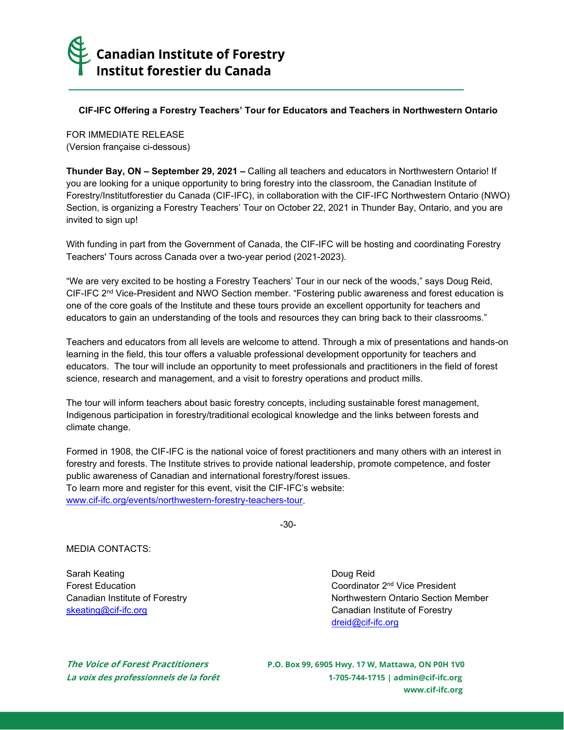

## **CIF-IFC Offering a Forestry Teachers' Tour for Educators and Teachers in Northwestern Ontario**

FOR IMMEDIATE RELEASE (Version française ci-dessous)

**Thunder Bay, ON – September 29, 2021 –** Calling all teachers and educators in Northwestern Ontario! If you are looking for a unique opportunity to bring forestry into the classroom, the Canadian Institute of Forestry/Institutforestier du Canada (CIF-IFC), in collaboration with the CIF-IFC Northwestern Ontario (NWO) Section, is organizing a Forestry Teachers' Tour on October 22, 2021 in Thunder Bay, Ontario, and you are invited to sign up!

With funding in part from the Government of Canada, the CIF-IFC will be hosting and coordinating Forestry Teachers' Tours across Canada over a two-year period (2021-2023).

"We are very excited to be hosting a Forestry Teachers' Tour in our neck of the woods," says Doug Reid, CIF-IFC 2<sup>nd</sup> Vice-President and NWO Section member. "Fostering public awareness and forest education is one of the core goals of the Institute and these tours provide an excellent opportunity for teachers and educators to gain an understanding of the tools and resources they can bring back to their classrooms."

Teachers and educators from all levels are welcome to attend. Through a mix of presentations and hands-on learning in the field, this tour offers a valuable professional development opportunity for teachers and educators. The tour will include an opportunity to meet professionals and practitioners in the field of forest science, research and management, and a visit to forestry operations and product mills.

The tour will inform teachers about basic forestry concepts, including sustainable forest management, Indigenous participation in forestry/traditional ecological knowledge and the links between forests and climate change.

Formed in 1908, the CIF-IFC is the national voice of forest practitioners and many others with an interest in forestry and forests. The Institute strives to provide national leadership, promote competence, and foster public awareness of Canadian and international forestry/forest issues. To learn more and register for this event, visit the CIF-IFC's website: [www.cif-ifc.org/events/northwestern-forestry-teachers-tour.](http://www.cif-ifc.org/events/northwestern-forestry-teachers-tour)

-30-

## MEDIA CONTACTS:

Sarah Keating **Doug Reid** Barah Keating **Doug Reid** 

Forest Education **Forest Education** Coordinator 2<sup>nd</sup> Vice President Canadian Institute of Forestry Northwestern Ontario Section Member [skeating@cif-ifc.org](mailto:skeating@cif-ifc.org) **Canadian Institute of Forestry** [dreid@cif-ifc.org](mailto:dreid@cif-ifc.org)

**The Voice of Forest Practitioners P.O. Box 99, 6905 Hwy. 17 W, Mattawa, ON P0H 1V0 La voix des professionnels de la forêt 1-705-744-1715 [| admin@cif-ifc.org](mailto:admin@cif-ifc.org) [www.cif-ifc.org](http://www.cif-ifc.org/)**